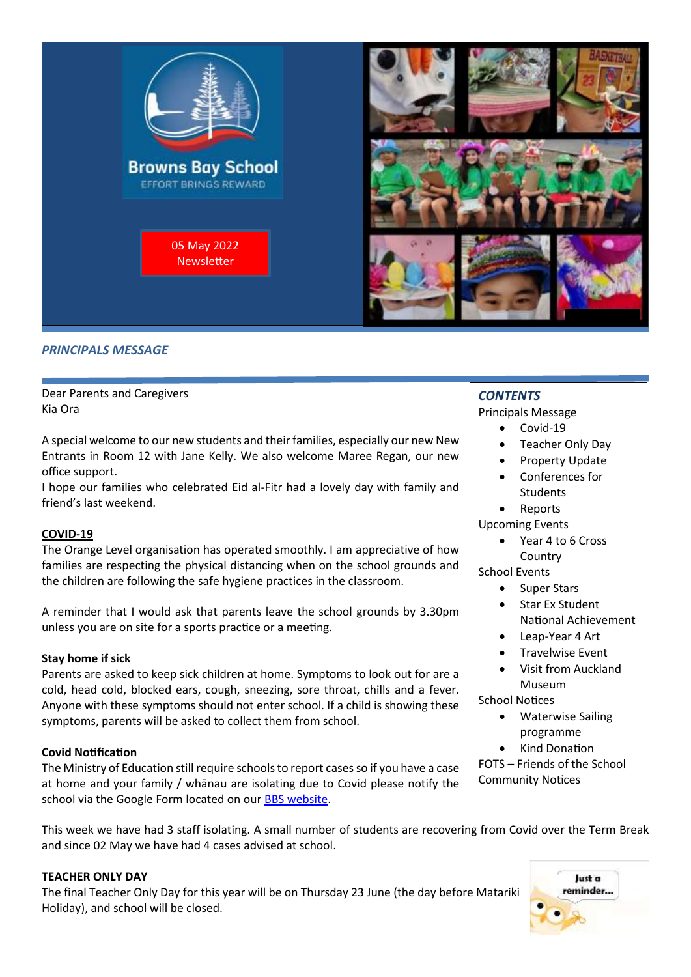

# *PRINCIPALS MESSAGE*

**Newsletter**

Dear Parents and Caregivers Kia Ora

A special welcome to our new students and their families, especially our new New Entrants in Room 12 with Jane Kelly. We also welcome Maree Regan, our new office support.

I hope our families who celebrated Eid al-Fitr had a lovely day with family and friend's last weekend.

#### **COVID-19**

The Orange Level organisation has operated smoothly. I am appreciative of how families are respecting the physical distancing when on the school grounds and the children are following the safe hygiene practices in the classroom.

A reminder that I would ask that parents leave the school grounds by 3.30pm unless you are on site for a sports practice or a meeting.

#### **Stay home if sick**

Parents are asked to keep sick children at home. Symptoms to look out for are a cold, head cold, blocked ears, cough, sneezing, sore throat, chills and a fever. Anyone with these symptoms should not enter school. If a child is showing these symptoms, parents will be asked to collect them from school.

## **Covid Notification**

The Ministry of Education still require schools to report cases so if you have a case at home and your family / whānau are isolating due to Covid please notify the school via the Google Form located on our [BBS website.](https://www.brownsbay.school.nz/index.php/school-information/health-safety)

This week we have had 3 staff isolating. A small number of students are recovering from Covid over the Term Break and since 02 May we have had 4 cases advised at school.

#### **TEACHER ONLY DAY**

The final Teacher Only Day for this year will be on Thursday 23 June (the day before Matariki Holiday), and school will be closed.

# *CONTENTS*

#### Principals Message

- Covid-19
- Teacher Only Day
- Property Update
- Conferences for **Students**
- Reports
- Upcoming Events
	- Year 4 to 6 Cross Country
- School Events
	- Super Stars
		- Star Ex Student National Achievement
		- Leap-Year 4 Art
		- Travelwise Event
		- Visit from Auckland Museum

School Notices

- Waterwise Sailing programme
- Kind Donation
- FOTS Friends of the School Community Notices

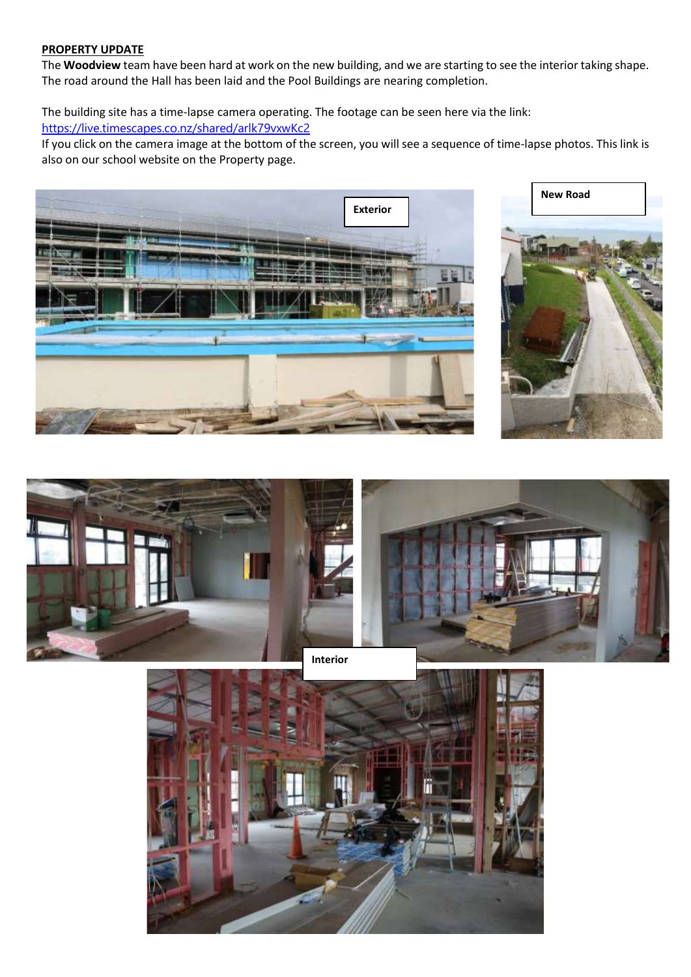#### **PROPERTY UPDATE**

The **Woodview** team have been hard at work on the new building, and we are starting to see the interior taking shape. The road around the Hall has been laid and the Pool Buildings are nearing completion.

The building site has a time-lapse camera operating. The footage can be seen here via the link: <https://live.timescapes.co.nz/shared/arlk79vxwKc2>

If you click on the camera image at the bottom of the screen, you will see a sequence of time-lapse photos. This link is also on our school website on the Property page.







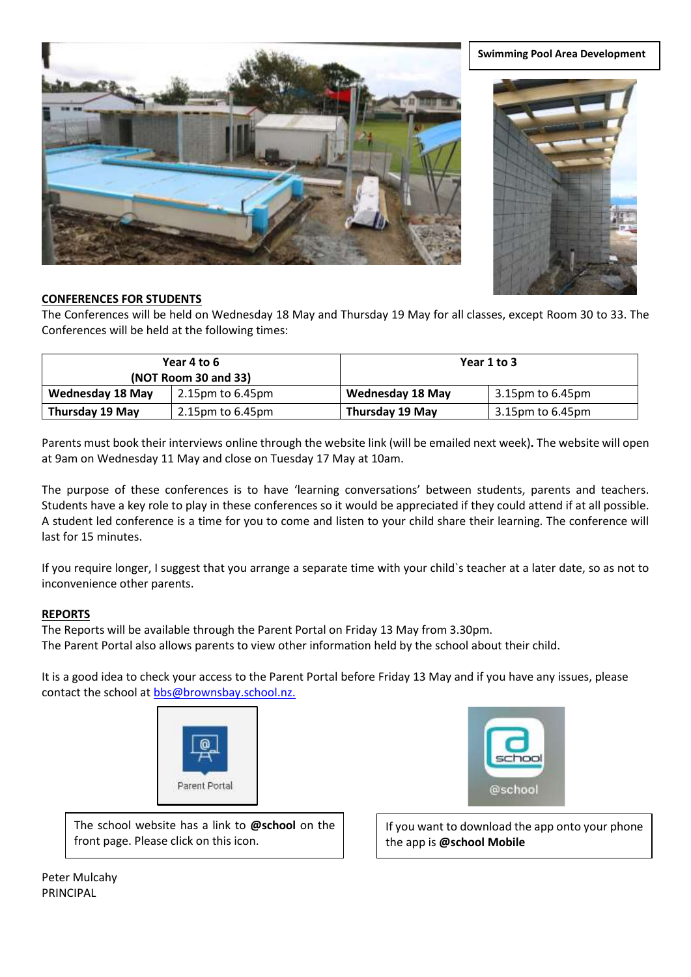



## **CONFERENCES FOR STUDENTS**

The Conferences will be held on Wednesday 18 May and Thursday 19 May for all classes, except Room 30 to 33. The Conferences will be held at the following times:

| Year 4 to 6<br>(NOT Room 30 and 33) |                  | Year 1 to 3      |                  |
|-------------------------------------|------------------|------------------|------------------|
| Wednesday 18 May                    | 2.15pm to 6.45pm | Wednesday 18 May | 3.15pm to 6.45pm |
| Thursday 19 May                     | 2.15pm to 6.45pm | Thursday 19 May  | 3.15pm to 6.45pm |

Parents must book their interviews online through the website link (will be emailed next week)**.** The website will open at 9am on Wednesday 11 May and close on Tuesday 17 May at 10am.

The purpose of these conferences is to have 'learning conversations' between students, parents and teachers. Students have a key role to play in these conferences so it would be appreciated if they could attend if at all possible. A student led conference is a time for you to come and listen to your child share their learning. The conference will last for 15 minutes.

If you require longer, I suggest that you arrange a separate time with your child`s teacher at a later date, so as not to inconvenience other parents.

## **REPORTS**

The Reports will be available through the Parent Portal on Friday 13 May from 3.30pm. The Parent Portal also allows parents to view other information held by the school about their child.

It is a good idea to check your access to the Parent Portal before Friday 13 May and if you have any issues, please contact the school at [bbs@brownsbay.school.nz.](mailto:bbs@brownsbay.school.nz)



The school website has a link to **@school** on the front page. Please click on this icon.



If you want to download the app onto your phone the app is **@school Mobile**

Peter Mulcahy PRINCIPAL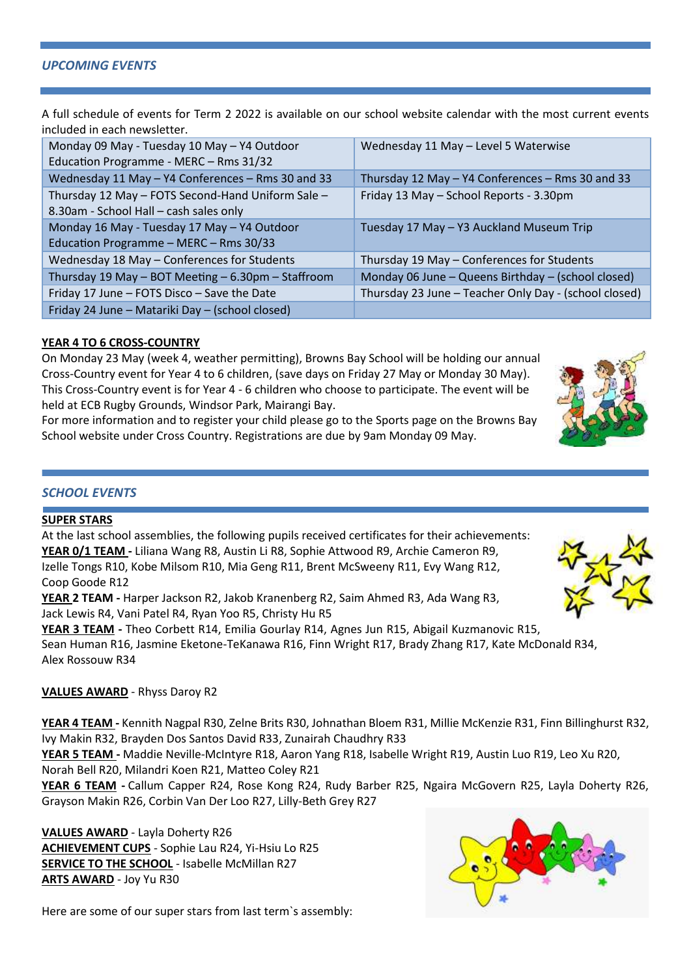#### *UPCOMING EVENTS*

A full schedule of events for Term 2 2022 is available on our school website calendar with the most current events included in each newsletter.

| Monday 09 May - Tuesday 10 May - Y4 Outdoor<br>Education Programme - MERC - Rms 31/32 | Wednesday 11 May - Level 5 Waterwise                  |
|---------------------------------------------------------------------------------------|-------------------------------------------------------|
| Wednesday 11 May - Y4 Conferences - Rms 30 and 33                                     | Thursday 12 May - Y4 Conferences - Rms 30 and 33      |
| Thursday 12 May - FOTS Second-Hand Uniform Sale -                                     | Friday 13 May - School Reports - 3.30pm               |
| 8.30am - School Hall - cash sales only                                                |                                                       |
| Monday 16 May - Tuesday 17 May - Y4 Outdoor                                           | Tuesday 17 May - Y3 Auckland Museum Trip              |
| Education Programme - MERC - Rms 30/33                                                |                                                       |
| Wednesday 18 May - Conferences for Students                                           | Thursday 19 May - Conferences for Students            |
| Thursday 19 May - BOT Meeting - 6.30pm - Staffroom                                    | Monday 06 June - Queens Birthday - (school closed)    |
| Friday 17 June - FOTS Disco - Save the Date                                           | Thursday 23 June - Teacher Only Day - (school closed) |
| Friday 24 June - Matariki Day - (school closed)                                       |                                                       |

#### **YEAR 4 TO 6 CROSS-COUNTRY**

On Monday 23 May (week 4, weather permitting), Browns Bay School will be holding our annual Cross-Country event for Year 4 to 6 children, (save days on Friday 27 May or Monday 30 May). This Cross-Country event is for Year 4 - 6 children who choose to participate. The event will be held at ECB Rugby Grounds, Windsor Park, Mairangi Bay.

For more information and to register your child please go to the Sports page on the Browns Bay School website under Cross Country. Registrations are due by 9am Monday 09 May.

#### *SCHOOL EVENTS*

#### **SUPER STARS**

At the last school assemblies, the following pupils received certificates for their achievements: **YEAR 0/1 TEAM -** Liliana Wang R8, Austin Li R8, Sophie Attwood R9, Archie Cameron R9, Izelle Tongs R10, Kobe Milsom R10, Mia Geng R11, Brent McSweeny R11, Evy Wang R12, Coop Goode R12

**YEAR 2 TEAM -** Harper Jackson R2, Jakob Kranenberg R2, Saim Ahmed R3, Ada Wang R3, Jack Lewis R4, Vani Patel R4, Ryan Yoo R5, Christy Hu R5

**YEAR 3 TEAM -** Theo Corbett R14, Emilia Gourlay R14, Agnes Jun R15, Abigail Kuzmanovic R15, Sean Human R16, Jasmine Eketone-TeKanawa R16, Finn Wright R17, Brady Zhang R17, Kate McDonald R34, Alex Rossouw R34

**VALUES AWARD** - Rhyss Daroy R2

**YEAR 4 TEAM -** Kennith Nagpal R30, Zelne Brits R30, Johnathan Bloem R31, Millie McKenzie R31, Finn Billinghurst R32, Ivy Makin R32, Brayden Dos Santos David R33, Zunairah Chaudhry R33

**YEAR 5 TEAM -** Maddie Neville-McIntyre R18, Aaron Yang R18, Isabelle Wright R19, Austin Luo R19, Leo Xu R20, Norah Bell R20, Milandri Koen R21, Matteo Coley R21

**YEAR 6 TEAM -** Callum Capper R24, Rose Kong R24, Rudy Barber R25, Ngaira McGovern R25, Layla Doherty R26, Grayson Makin R26, Corbin Van Der Loo R27, Lilly-Beth Grey R27

**VALUES AWARD** - Layla Doherty R26 **ACHIEVEMENT CUPS** - Sophie Lau R24, Yi-Hsiu Lo R25 **SERVICE TO THE SCHOOL** - Isabelle McMillan R27 **ARTS AWARD** - Joy Yu R30

Here are some of our super stars from last term`s assembly:

![](_page_3_Picture_17.jpeg)

![](_page_3_Picture_18.jpeg)

![](_page_3_Picture_19.jpeg)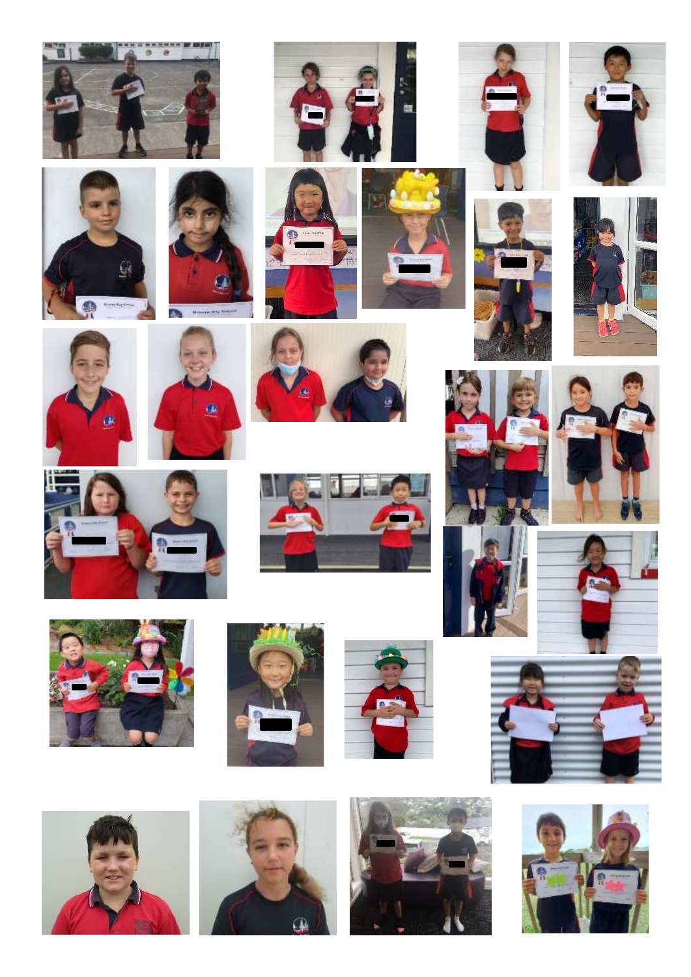![](_page_4_Picture_0.jpeg)

![](_page_4_Picture_1.jpeg)

![](_page_4_Picture_2.jpeg)

![](_page_4_Picture_3.jpeg)

![](_page_4_Picture_4.jpeg)

![](_page_4_Picture_5.jpeg)

![](_page_4_Picture_6.jpeg)

![](_page_4_Picture_7.jpeg)

![](_page_4_Picture_8.jpeg)

![](_page_4_Picture_9.jpeg)

![](_page_4_Picture_10.jpeg)

![](_page_4_Picture_11.jpeg)

![](_page_4_Picture_12.jpeg)

![](_page_4_Picture_13.jpeg)

![](_page_4_Picture_14.jpeg)

![](_page_4_Picture_15.jpeg)

![](_page_4_Picture_16.jpeg)

![](_page_4_Picture_17.jpeg)

![](_page_4_Picture_18.jpeg)

![](_page_4_Picture_19.jpeg)

![](_page_4_Picture_20.jpeg)

![](_page_4_Picture_21.jpeg)

![](_page_4_Picture_22.jpeg)

![](_page_4_Picture_23.jpeg)

![](_page_4_Picture_24.jpeg)

![](_page_4_Picture_25.jpeg)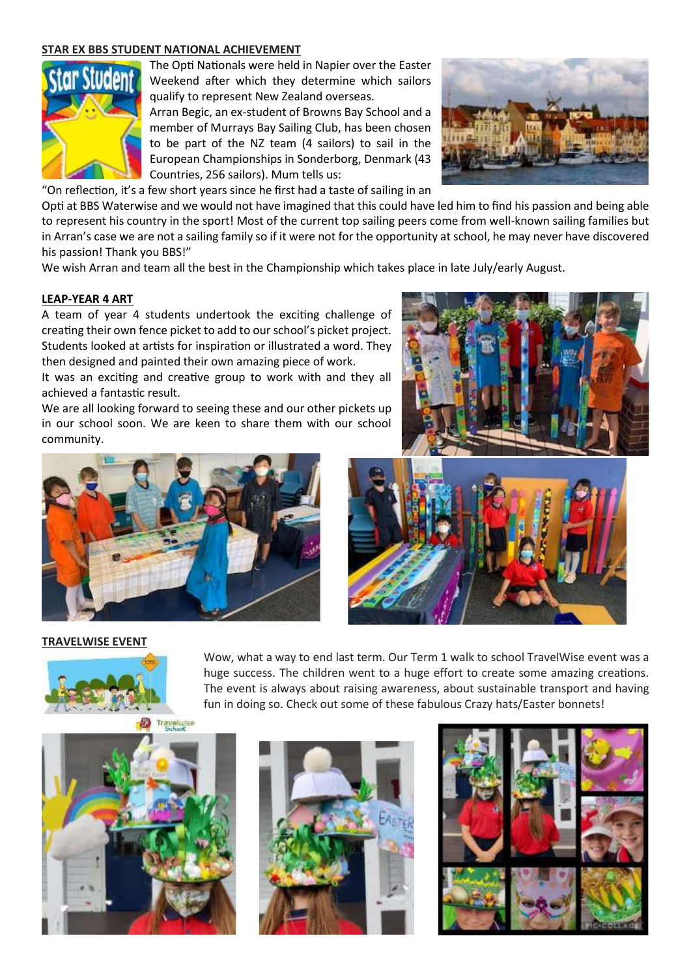#### **STAR EX BBS STUDENT NATIONAL ACHIEVEMENT**

![](_page_5_Picture_1.jpeg)

The Opti Nationals were held in Napier over the Easter Weekend after which they determine which sailors qualify to represent New Zealand overseas.

Arran Begic, an ex-student of Browns Bay School and a member of Murrays Bay Sailing Club, has been chosen to be part of the NZ team (4 sailors) to sail in the European Championships in Sonderborg, Denmark (43 Countries, 256 sailors). Mum tells us:

![](_page_5_Picture_4.jpeg)

"On reflection, it's a few short years since he first had a taste of sailing in an

Opti at BBS Waterwise and we would not have imagined that this could have led him to find his passion and being able to represent his country in the sport! Most of the current top sailing peers come from well-known sailing families but in Arran's case we are not a sailing family so if it were not for the opportunity at school, he may never have discovered his passion! Thank you BBS!"

We wish Arran and team all the best in the Championship which takes place in late July/early August.

#### **LEAP-YEAR 4 ART**

A team of year 4 students undertook the exciting challenge of creating their own fence picket to add to our school's picket project. Students looked at artists for inspiration or illustrated a word. They then designed and painted their own amazing piece of work.

It was an exciting and creative group to work with and they all achieved a fantastic result.

We are all looking forward to seeing these and our other pickets up in our school soon. We are keen to share them with our school community.

![](_page_5_Picture_12.jpeg)

![](_page_5_Picture_13.jpeg)

![](_page_5_Picture_14.jpeg)

#### **TRAVELWISE EVENT**

![](_page_5_Picture_16.jpeg)

Wow, what a way to end last term. Our Term 1 walk to school TravelWise event was a huge success. The children went to a huge effort to create some amazing creations. The event is always about raising awareness, about sustainable transport and having fun in doing so. Check out some of these fabulous Crazy hats/Easter bonnets!

![](_page_5_Picture_18.jpeg)

![](_page_5_Picture_19.jpeg)

![](_page_5_Picture_20.jpeg)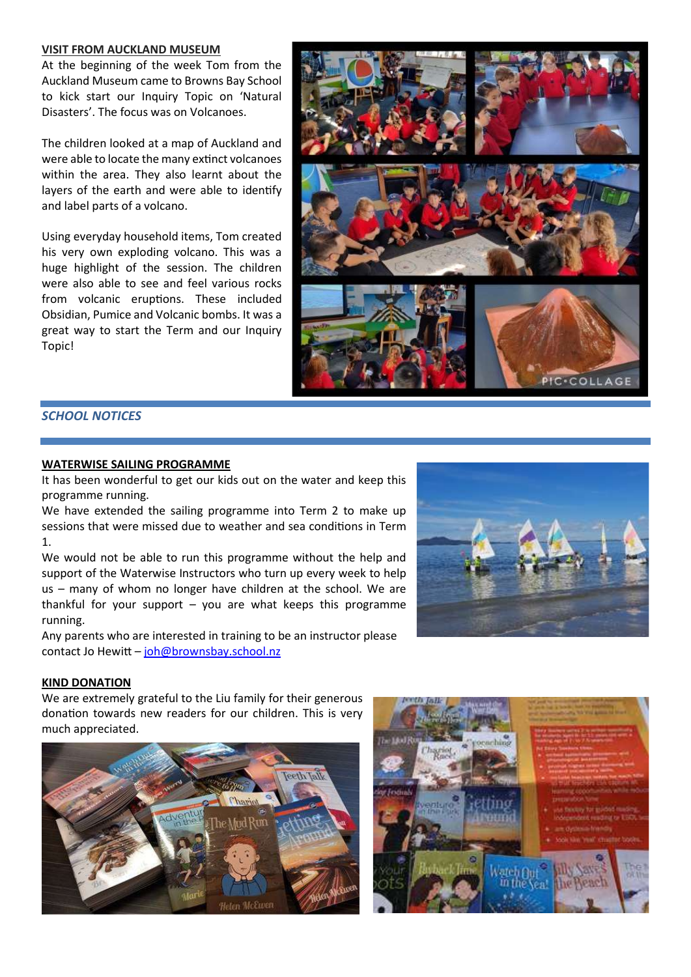#### **VISIT FROM AUCKLAND MUSEUM**

At the beginning of the week Tom from the Auckland Museum came to Browns Bay School to kick start our Inquiry Topic on 'Natural Disasters'. The focus was on Volcanoes.

The children looked at a map of Auckland and were able to locate the many extinct volcanoes within the area. They also learnt about the layers of the earth and were able to identify and label parts of a volcano.

Using everyday household items, Tom created his very own exploding volcano. This was a huge highlight of the session. The children were also able to see and feel various rocks from volcanic eruptions. These included Obsidian, Pumice and Volcanic bombs. It was a great way to start the Term and our Inquiry Topic!

![](_page_6_Picture_4.jpeg)

## *SCHOOL NOTICES*

#### **WATERWISE SAILING PROGRAMME**

It has been wonderful to get our kids out on the water and keep this programme running.

We have extended the sailing programme into Term 2 to make up sessions that were missed due to weather and sea conditions in Term 1.

We would not be able to run this programme without the help and support of the Waterwise Instructors who turn up every week to help us – many of whom no longer have children at the school. We are thankful for your support  $-$  you are what keeps this programme running.

Any parents who are interested in training to be an instructor please contact Jo Hewitt - [joh@brownsbay.school.nz](mailto:joh@brownsbay.school.nz)

![](_page_6_Picture_11.jpeg)

#### **KIND DONATION**

We are extremely grateful to the Liu family for their generous donation towards new readers for our children. This is very much appreciated.

![](_page_6_Picture_14.jpeg)

![](_page_6_Picture_15.jpeg)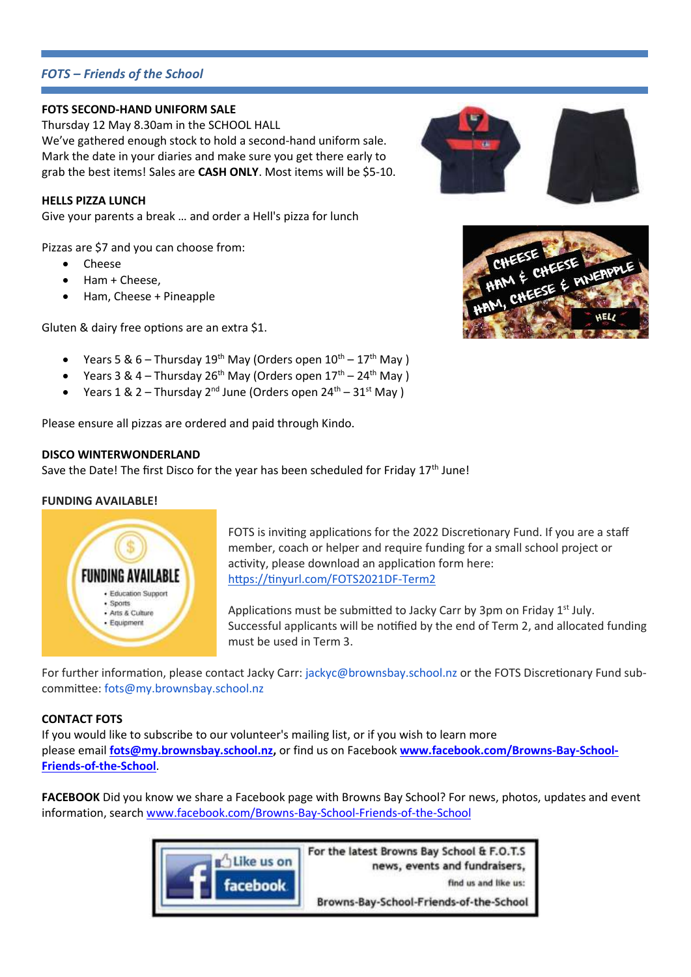# *FOTS – Friends of the School*

#### **FOTS SECOND-HAND UNIFORM SALE**

Thursday 12 May 8.30am in the SCHOOL HALL We've gathered enough stock to hold a second-hand uniform sale. Mark the date in your diaries and make sure you get there early to grab the best items! Sales are **CASH ONLY**. Most items will be \$5-10.

#### **HELLS PIZZA LUNCH**

Give your parents a break … and order a Hell's pizza for lunch

Pizzas are \$7 and you can choose from:

- Cheese
- Ham + Cheese,
- Ham, Cheese + Pineapple

Gluten & dairy free options are an extra \$1.

- Years 5 & 6 Thursday 19<sup>th</sup> May (Orders open  $10^{th}$   $17^{th}$  May)
- Years 3 & 4 Thursday 26<sup>th</sup> May (Orders open  $17<sup>th</sup>$  24<sup>th</sup> May)
- Years 1 & 2 Thursday 2<sup>nd</sup> June (Orders open 24<sup>th</sup> 31<sup>st</sup> May)

Please ensure all pizzas are ordered and paid through Kindo.

#### **DISCO WINTERWONDERLAND**

Save the Date! The first Disco for the year has been scheduled for Friday 17<sup>th</sup> June!

#### **FUNDING AVAILABLE!**

![](_page_7_Picture_17.jpeg)

FOTS is inviting applications for the 2022 Discretionary Fund. If you are a staff member, coach or helper and require funding for a small school project or activity, please download an application form here: <https://tinyurl.com/FOTS2021DF-Term2>

Applications must be submitted to Jacky Carr by 3pm on Friday  $1<sup>st</sup>$  July. Successful applicants will be notified by the end of Term 2, and allocated funding must be used in Term 3.

For further information, please contact Jacky Carr: jackyc@brownsbay.school.nz or the FOTS Discretionary Fund subcommittee: fots@my.brownsbay.school.nz

## **CONTACT FOTS**

If you would like to subscribe to our volunteer's mailing list, or if you wish to learn more please email **[fots@my.brownsbay.school.nz,](mailto:fots@my.brownsbay.school.nz)** or find us on Facebook **[www.facebook.com/Browns-Bay-School-](http://www.facebook.com/Browns-Bay-School-Friends-of-the-School)[Friends-of-the-School](http://www.facebook.com/Browns-Bay-School-Friends-of-the-School)**.

**FACEBOOK** Did you know we share a Facebook page with Browns Bay School? For news, photos, updates and event information, search [www.facebook.com/Browns-Bay-School-Friends-of-the-School](http://www.facebook.com/Browns-Bay-School-Friends-of-the-School)

![](_page_7_Picture_24.jpeg)

![](_page_7_Picture_25.jpeg)

![](_page_7_Picture_26.jpeg)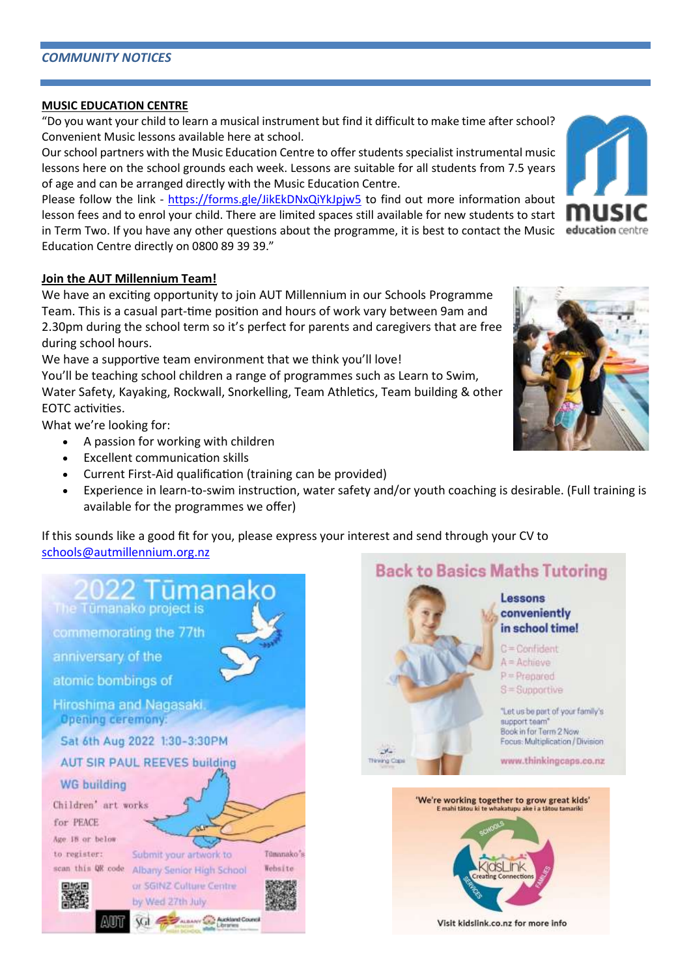# **MUSIC EDUCATION CENTRE**

"Do you want your child to learn a musical instrument but find it difficult to make time after school? Convenient Music lessons available here at school.

Our school partners with the Music Education Centre to offer students specialist instrumental music lessons here on the school grounds each week. Lessons are suitable for all students from 7.5 years of age and can be arranged directly with the Music Education Centre.

Please follow the link - <https://forms.gle/JikEkDNxQiYkJpjw5> to find out more information about lesson fees and to enrol your child. There are limited spaces still available for new students to start in Term Two. If you have any other questions about the programme, it is best to contact the Music Education Centre directly on 0800 89 39 39."

# **Join the AUT Millennium Team!**

We have an exciting opportunity to join AUT Millennium in our Schools Programme Team. This is a casual part-time position and hours of work vary between 9am and 2.30pm during the school term so it's perfect for parents and caregivers that are free during school hours.

We have a supportive team environment that we think you'll love!

You'll be teaching school children a range of programmes such as Learn to Swim, Water Safety, Kayaking, Rockwall, Snorkelling, Team Athletics, Team building & other EOTC activities.

What we're looking for:

- A passion for working with children
- Excellent communication skills
- Current First-Aid qualification (training can be provided)
- Experience in learn-to-swim instruction, water safety and/or youth coaching is desirable. (Full training is available for the programmes we offer)

If this sounds like a good fit for you, please express your interest and send through your CV to [schools@autmillennium.org.nz](mailto:schools@autmillennium.org.nz)

![](_page_8_Figure_15.jpeg)

# **Back to Basics Maths Tutoring**

![](_page_8_Picture_17.jpeg)

![](_page_8_Picture_18.jpeg)

![](_page_8_Picture_19.jpeg)

![](_page_8_Picture_20.jpeg)

![](_page_8_Picture_21.jpeg)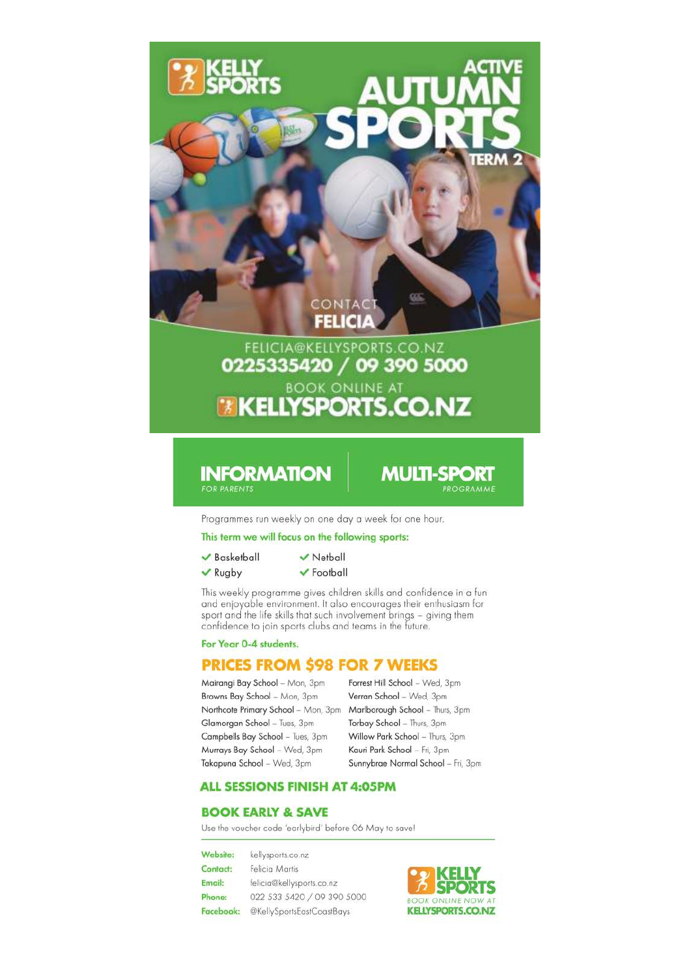![](_page_9_Picture_0.jpeg)

Programmes run weekly on one day a week for one hour.

#### This term we will focus on the following sports:

- ✔ Basketball
- $\vee$  Rugby
- $\vee$  Netball ✔ Football

This weekly programme gives children skills and confidence in a fun and enjoyable environment. It also encourages their enthusiasm for sport and the life skills that such involvement brings - giving them confidence to join sports clubs and teams in the future.

#### For Year 0-4 students.

## **PRICES FROM \$98 FOR 7 WEEKS**

Mairangi Bay School - Mon, 3pm Browns Bay School - Mon, 3pm Northcote Primary School - Mon, 3pm Marlborough School - Thurs, 3pm Glamorgan School - Tues, 3pm Campbells Bay School - Tues, 3pm Murrays Bay School - Wed, 3pm Takapuna School - Wed, 3pm

Forrest Hill School - Wed, 3pm Verran School - Wed, 3pm Torbay School - Thurs, 3pm Willow Park School - Thurs, 3pm Kauri Park School - Fri, 3pm Sunnybrae Normal School - Fri, 3pm

#### **ALL SESSIONS FINISH AT 4:05PM**

#### **BOOK EARLY & SAVE**

Use the voucher code 'earlybird' before 06 May to save!

| Website:  | kellysports.co.nz          |  |
|-----------|----------------------------|--|
| Contact:  | Felicia Martis             |  |
| Email:    | felicia@kellysports.co.nz  |  |
| Phone:    | 022 533 5420 / 09 390 5000 |  |
| Facebook: | @KellySportsEastCoastBays  |  |

![](_page_9_Picture_15.jpeg)